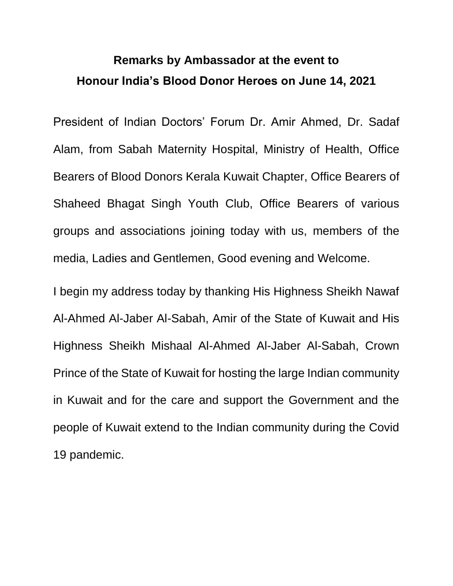## **Remarks by Ambassador at the event to Honour India's Blood Donor Heroes on June 14, 2021**

President of Indian Doctors' Forum Dr. Amir Ahmed, Dr. Sadaf Alam, from Sabah Maternity Hospital, Ministry of Health, Office Bearers of Blood Donors Kerala Kuwait Chapter, Office Bearers of Shaheed Bhagat Singh Youth Club, Office Bearers of various groups and associations joining today with us, members of the media, Ladies and Gentlemen, Good evening and Welcome.

I begin my address today by thanking His Highness Sheikh Nawaf Al-Ahmed Al-Jaber Al-Sabah, Amir of the State of Kuwait and His Highness Sheikh Mishaal Al-Ahmed Al-Jaber Al-Sabah, Crown Prince of the State of Kuwait for hosting the large Indian community in Kuwait and for the care and support the Government and the people of Kuwait extend to the Indian community during the Covid 19 pandemic.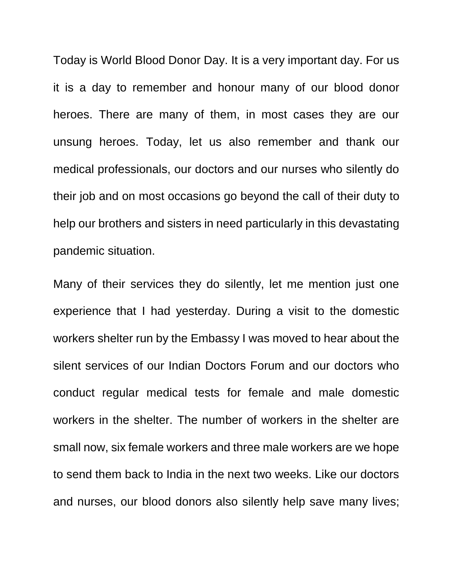Today is World Blood Donor Day. It is a very important day. For us it is a day to remember and honour many of our blood donor heroes. There are many of them, in most cases they are our unsung heroes. Today, let us also remember and thank our medical professionals, our doctors and our nurses who silently do their job and on most occasions go beyond the call of their duty to help our brothers and sisters in need particularly in this devastating pandemic situation.

Many of their services they do silently, let me mention just one experience that I had yesterday. During a visit to the domestic workers shelter run by the Embassy I was moved to hear about the silent services of our Indian Doctors Forum and our doctors who conduct regular medical tests for female and male domestic workers in the shelter. The number of workers in the shelter are small now, six female workers and three male workers are we hope to send them back to India in the next two weeks. Like our doctors and nurses, our blood donors also silently help save many lives;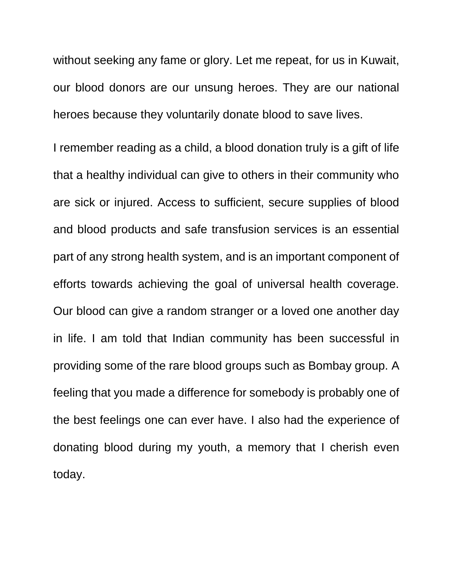without seeking any fame or glory. Let me repeat, for us in Kuwait, our blood donors are our unsung heroes. They are our national heroes because they voluntarily donate blood to save lives.

I remember reading as a child, a blood donation truly is a gift of life that a healthy individual can give to others in their community who are sick or injured. Access to sufficient, secure supplies of blood and blood products and safe transfusion services is an essential part of any strong health system, and is an important component of efforts towards achieving the goal of universal health coverage. Our blood can give a random stranger or a loved one another day in life. I am told that Indian community has been successful in providing some of the rare blood groups such as Bombay group. A feeling that you made a difference for somebody is probably one of the best feelings one can ever have. I also had the experience of donating blood during my youth, a memory that I cherish even today.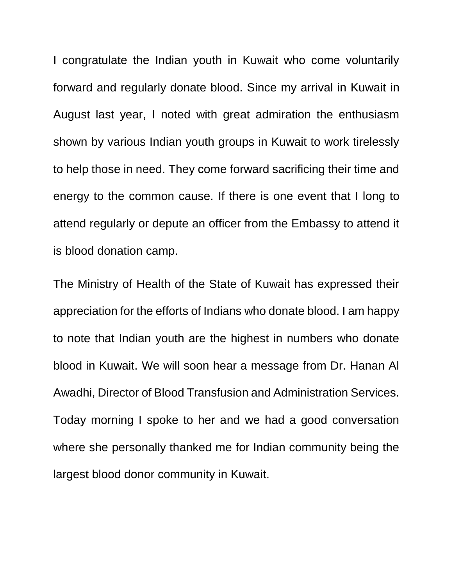I congratulate the Indian youth in Kuwait who come voluntarily forward and regularly donate blood. Since my arrival in Kuwait in August last year, I noted with great admiration the enthusiasm shown by various Indian youth groups in Kuwait to work tirelessly to help those in need. They come forward sacrificing their time and energy to the common cause. If there is one event that I long to attend regularly or depute an officer from the Embassy to attend it is blood donation camp.

The Ministry of Health of the State of Kuwait has expressed their appreciation for the efforts of Indians who donate blood. I am happy to note that Indian youth are the highest in numbers who donate blood in Kuwait. We will soon hear a message from Dr. Hanan Al Awadhi, Director of Blood Transfusion and Administration Services. Today morning I spoke to her and we had a good conversation where she personally thanked me for Indian community being the largest blood donor community in Kuwait.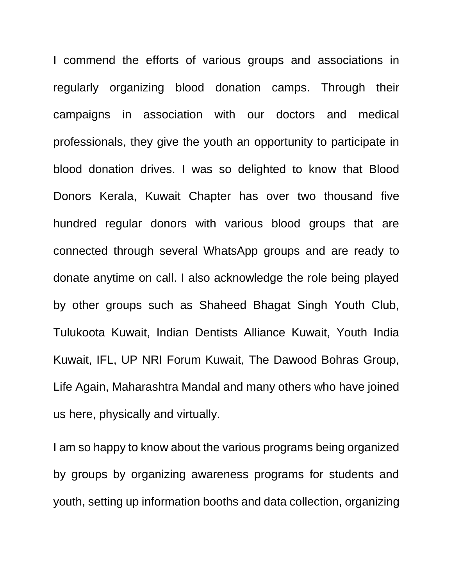I commend the efforts of various groups and associations in regularly organizing blood donation camps. Through their campaigns in association with our doctors and medical professionals, they give the youth an opportunity to participate in blood donation drives. I was so delighted to know that Blood Donors Kerala, Kuwait Chapter has over two thousand five hundred regular donors with various blood groups that are connected through several WhatsApp groups and are ready to donate anytime on call. I also acknowledge the role being played by other groups such as Shaheed Bhagat Singh Youth Club, Tulukoota Kuwait, Indian Dentists Alliance Kuwait, Youth India Kuwait, IFL, UP NRI Forum Kuwait, The Dawood Bohras Group, Life Again, Maharashtra Mandal and many others who have joined us here, physically and virtually.

I am so happy to know about the various programs being organized by groups by organizing awareness programs for students and youth, setting up information booths and data collection, organizing